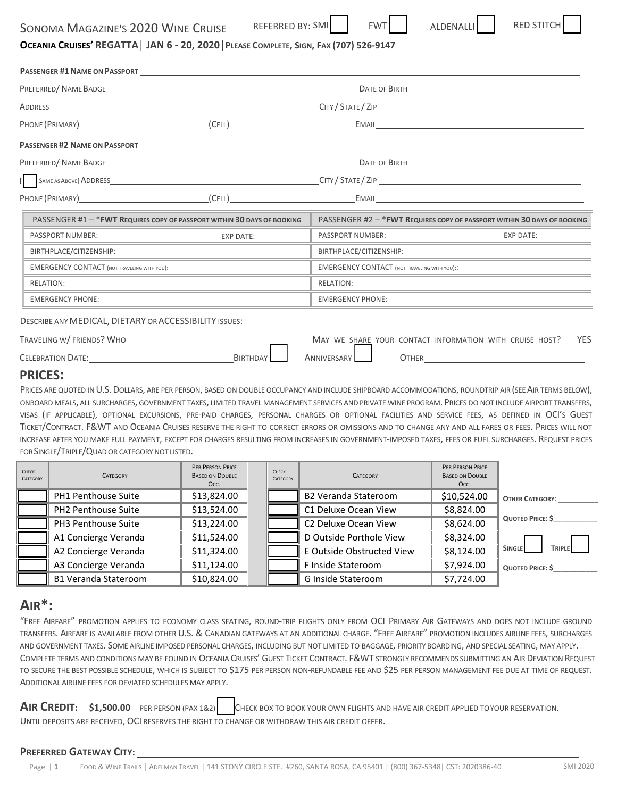| <b>SONOMA MAGAZINE'S 2020 WINE CRUISE</b> |  |
|-------------------------------------------|--|
|-------------------------------------------|--|

REFERRED BY: SMI

## OCEANIA CRUISES' REGATTA | JAN 6 - 20, 2020 | PLEASE COMPLETE, SIGN, FAX (707) 526-9147

|                                                                                                                                                                                                                                                                                                                                                       |                  |                                                         | DATE OF BIRTH THE STATE OF BIRTH                                                |
|-------------------------------------------------------------------------------------------------------------------------------------------------------------------------------------------------------------------------------------------------------------------------------------------------------------------------------------------------------|------------------|---------------------------------------------------------|---------------------------------------------------------------------------------|
| $\textsf{ADDRES}$ $\textsf{CDRESS}$ $\textsf{CDIRE}$ $\textsf{CDIRE}$ $\textsf{CDIRE}$ $\textsf{CDIRE}$ $\textsf{CDIRE}$ $\textsf{CDIRE}$ $\textsf{CDIRE}$ $\textsf{CDIRE}$ $\textsf{CDIRE}$ $\textsf{CDIRE}$ $\textsf{CDIRE}$ $\textsf{CDIRE}$ $\textsf{CDIRE}$ $\textsf{CDIRE}$ $\textsf{CDIRE}$ $\textsf{CDIRE}$ $\textsf{CDIRE}$ $\textsf{CDIRE}$ |                  |                                                         |                                                                                 |
|                                                                                                                                                                                                                                                                                                                                                       |                  |                                                         |                                                                                 |
|                                                                                                                                                                                                                                                                                                                                                       |                  |                                                         |                                                                                 |
|                                                                                                                                                                                                                                                                                                                                                       |                  |                                                         |                                                                                 |
|                                                                                                                                                                                                                                                                                                                                                       |                  |                                                         |                                                                                 |
| PHONE (PRIMARY) CELL) EMAIL                                                                                                                                                                                                                                                                                                                           |                  |                                                         |                                                                                 |
| PASSENGER #1 - * FWT REQUIRES COPY OF PASSPORT WITHIN 30 DAYS OF BOOKING                                                                                                                                                                                                                                                                              |                  |                                                         | PASSENGER #2 - * FWT REQUIRES COPY OF PASSPORT WITHIN 30 DAYS OF BOOKING        |
| <b>PASSPORT NUMBER:</b>                                                                                                                                                                                                                                                                                                                               | <b>EXP DATE:</b> | PASSPORT NUMBER:                                        | <b>EXP DATE:</b>                                                                |
| BIRTHPLACE/CITIZENSHIP:                                                                                                                                                                                                                                                                                                                               |                  | BIRTHPLACE/CITIZENSHIP:                                 |                                                                                 |
| <b>EMERGENCY CONTACT (NOT TRAVELING WITH YOU):</b>                                                                                                                                                                                                                                                                                                    |                  | <b>EMERGENCY CONTACT (NOT TRAVELING WITH YOU)::</b>     |                                                                                 |
| <b>RELATION:</b>                                                                                                                                                                                                                                                                                                                                      |                  | <b>RELATION:</b>                                        |                                                                                 |
| <b>EMERGENCY PHONE:</b>                                                                                                                                                                                                                                                                                                                               |                  | <b>EMERGENCY PHONE:</b>                                 |                                                                                 |
| DESCRIBE ANY MEDICAL, DIETARY OR ACCESSIBILITY ISSUES:                                                                                                                                                                                                                                                                                                |                  |                                                         |                                                                                 |
| TRAVELING W/FRIENDS? WHO                                                                                                                                                                                                                                                                                                                              |                  | MAY WE SHARE YOUR CONTACT INFORMATION WITH CRUISE HOST? | <b>YES</b>                                                                      |
| <b>CELEBRATION DATE:</b> THE SERVICE OF STRAIN STRAIN STRAIN STRAIN STRAIN STRAIN STRAIN STRAIN STRAIN STRAIN STRAIN STRAIN STRAIN STRAIN STRAIN STRAIN STRAIN STRAIN STRAIN STRAIN STRAIN STRAIN STRAIN STRAIN STRAIN STRAIN STRAI                                                                                                                   | BIRTHDAY         | ANNIVERSARY<br>OTHER                                    | the contract of the contract of the contract of the contract of the contract of |

## **PRICES:**

PRICES ARE QUOTED IN U.S. DOLLARS, ARE PER PERSON, BASED ON DOUBLE OCCUPANCY AND INCLUDE SHIPBOARD ACCOMMODATIONS, ROUNDTRIP AIR (SEE AIR TERMS BELOW), ONBOARD MEALS, ALL SURCHARGES, GOVERNMENT TAXES, LIMITED TRAVEL MANAGEMENT SERVICES AND PRIVATE WINE PROGRAM. PRICES DO NOT INCLUDE AIRPORT TRANSFERS, VISAS (IF APPLICABLE), OPTIONAL EXCURSIONS, PRE-PAID CHARGES, PERSONAL CHARGES OR OPTIONAL FACILITIES AND SERVICE FEES, AS DEFINED IN OCI'S GUEST TICKET/CONTRACT. F&WT AND OCEANIA CRUISES RESERVE THE RIGHT TO CORRECT ERRORS OR OMISSIONS AND TO CHANGE ANY AND ALL FARES OR FEES. PRICES WILL NOT INCREASE AFTER YOU MAKE FULL PAYMENT, EXCEPT FOR CHARGES RESULTING FROM INCREASES IN GOVERNMENT‐IMPOSED TAXES, FEES OR FUEL SURCHARGES. REQUEST PRICES FOR SINGLE/TRIPLE/QUAD OR CATEGORY NOT LISTED.

| CHECK<br>CATEGORY | <b>CATEGORY</b>             | PER PERSON PRICE<br><b>BASED ON DOUBLE</b><br>Occ. | CHECK<br>CATEGORY | <b>CATEGORY</b>             | <b>PER PERSON PRICE</b><br><b>BASED ON DOUBLE</b><br>Occ. |                                |
|-------------------|-----------------------------|----------------------------------------------------|-------------------|-----------------------------|-----------------------------------------------------------|--------------------------------|
|                   | <b>PH1 Penthouse Suite</b>  | \$13,824.00                                        |                   | <b>B2 Veranda Stateroom</b> | \$10,524.00                                               | <b>OTHER CATEGORY:</b>         |
|                   | <b>PH2 Penthouse Suite</b>  | \$13,524.00                                        |                   | C1 Deluxe Ocean View        | \$8,824.00                                                |                                |
|                   | PH3 Penthouse Suite         | \$13,224.00                                        |                   | C2 Deluxe Ocean View        | \$8,624.00                                                | QUOTED PRICE: \$               |
|                   | A1 Concierge Veranda        | \$11,524.00                                        |                   | D Outside Porthole View     | \$8,324.00                                                |                                |
|                   | A2 Concierge Veranda        | \$11,324.00                                        |                   | E Outside Obstructed View   | \$8,124.00                                                | <b>TRIPLE</b><br><b>SINGLE</b> |
|                   | A3 Concierge Veranda        | \$11,124.00                                        |                   | F Inside Stateroom          | \$7,924.00                                                | QUOTED PRICE: \$               |
|                   | <b>B1 Veranda Stateroom</b> | \$10,824.00                                        |                   | G Inside Stateroom          | \$7,724.00                                                |                                |

## **AIR\*:**

"FREE AIRFARE" PROMOTION APPLIES TO ECONOMY CLASS SEATING, ROUND‐TRIP FLIGHTS ONLY FROM OCI PRIMARY AIR GATEWAYS AND DOES NOT INCLUDE GROUND TRANSFERS. AIRFARE IS AVAILABLE FROM OTHER U.S. & CANADIAN GATEWAYS AT AN ADDITIONAL CHARGE. "FREE AIRFARE" PROMOTION INCLUDES AIRLINE FEES, SURCHARGES AND GOVERNMENT TAXES. SOME AIRLINE IMPOSED PERSONAL CHARGES, INCLUDING BUT NOT LIMITED TO BAGGAGE, PRIORITY BOARDING, AND SPECIAL SEATING, MAY APPLY. COMPLETE TERMS AND CONDITIONS MAY BE FOUND IN OCEANIA CRUISES' GUEST TICKET CONTRACT. F&WT STRONGLY RECOMMENDS SUBMITTING AN AIR DEVIATION REQUEST TO SECURE THE BEST POSSIBLE SCHEDULE, WHICH IS SUBJECT TO \$175 PER PERSON NON-REFUNDABLE FEE AND \$25 PER PERSON MANAGEMENT FEE DUE AT TIME OF REQUEST. ADDITIONAL AIRLINE FEES FOR DEVIATED SCHEDULES MAY APPLY.

**AIR CREDIT: \$1,500.00** PER PERSON (PAX 1&2) CHECK BOX TO BOOK YOUR OWN FLIGHTS AND HAVE AIR CREDIT APPLIED TOYOUR RESERVATION. UNTIL DEPOSITS ARE RECEIVED, OCI RESERVES THE RIGHT TO CHANGE OR WITHDRAW THIS AIR CREDIT OFFER.

### **PREFERRED GATEWAY CITY:**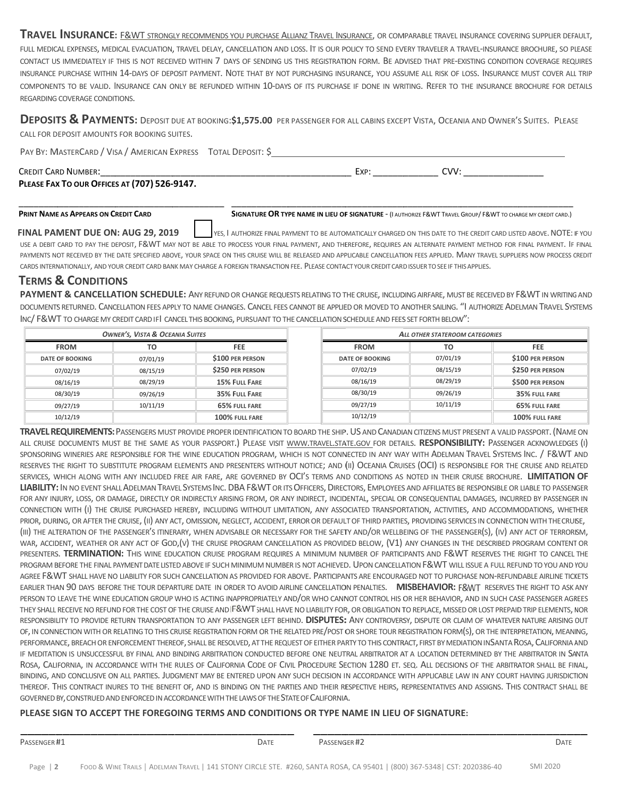TRAVEL INSURANCE: E&WT STRONGLY RECOMMENDS YOU PURCHASE ALLIANZ TRAVEL INSURANCE, OR COMPARABLE TRAVEL INSURANCE COVERING SUPPLIER DEFAULT, FULL MEDICAL EXPENSES, MEDICAL EVACUATION, TRAVEL DELAY, CANCELLATION AND LOSS. IT IS OUR POLICY TO SEND EVERY TRAVELER A TRAVEL-INSURANCE BROCHURE, SO PLEASE CONTACT US IMMEDIATELY IF THIS IS NOT RECEIVED WITHIN 7 DAYS OF SENDING US THIS REGISTRATION FORM. BE ADVISED THAT PRE-EXISTING CONDITION COVERAGE REQUIRES INSURANCE PURCHASE WITHIN 14-DAYS OF DEPOSIT PAYMENT. NOTE THAT BY NOT PURCHASING INSURANCE, YOU ASSUME ALL RISK OF LOSS. INSURANCE MUST COVER ALL TRIP COMPONENTS TO BE VALID. INSURANCE CAN ONLY BE REFUNDED WITHIN 10-DAYS OF ITS PURCHASE IF DONE IN WRITING. REFER TO THE INSURANCE BROCHURE FOR DETAILS REGARDING COVERAGE CONDITIONS.

DEPOSITS & PAYMENTS: DEPOSIT DUE AT BOOKING:\$1,575.00 PER PASSENGER FOR ALL CABINS EXCEPT VISTA, OCEANIA AND OWNER'S SUITES. PLEASE CALL FOR DEPOSIT AMOUNTS FOR BOOKING SUITES.

PAY BY: MASTERCARD / VISA / AMERICAN EXPRESS TOTAL DEPOSIT: \$ CREDIT CARD NUMBER: \_\_\_\_\_\_\_\_\_\_\_\_\_ \_\_\_\_\_\_\_\_\_\_\_\_ \_\_\_\_\_\_\_\_\_\_\_\_\_ \_\_\_\_\_\_\_\_\_\_\_\_ \_\_ EXP: \_\_\_\_\_\_\_ \_\_\_\_\_\_\_\_ CVV: : \_\_\_\_\_\_\_\_\_\_\_  $\overline{\phantom{a}}$ 

\_\_\_\_\_\_\_\_\_\_\_\_

**PLEASE FAX X TO OUR OFFICE S AT (707) 526 ‐9147.**

\_\_\_\_\_\_\_\_\_\_\_\_

\_\_\_\_\_\_\_\_\_\_\_

#### **PRINT NAME E AS APPEARS ON C REDIT CARD**  \_\_\_\_\_\_\_\_\_\_\_\_\_

\_\_\_\_\_\_\_\_

**SIGNATURE OR TYPE NAME IN LIEU OF SIGNATURE - (I AUTHORIZE F&WT TRAVEL GROUP/ F&WT TO CHARGE MY CREDIT CARD.)** 

\_\_\_\_\_\_\_\_\_\_\_\_

\_\_\_\_\_\_\_\_\_\_\_\_\_

\_\_\_\_\_\_\_\_\_\_\_

\_\_\_\_\_\_\_\_\_\_\_\_\_

USE A DEBIT CARD TO PAY THE DEPOSIT, F&WT MAY NOT BE ABLE TO PROCESS YOUR FINAL PAYMENT, AND THEREFORE, REQUIRES AN ALTERNATE PAYMENT METHOD FOR FINAL PAYMENT. IF FINAL PAYMENTS NOT RECEIVED BY THE DATE SPECIFIED ABOVE, YOUR SPACE ON THIS CRUISE WILL BE RELEASED AND APPLICABLE CANCELLATION FEES APPLIED. MANY TRAVEL SUPPLIERS NOW PROCESS CREDIT CARDS INTERNATIONALLY, AND YOUR CREDIT CARD BANK MAY CHARGE A FOREIGN TRANSACTION FEE. PLEASE CONTACT YOUR CREDIT CARD ISSUER TO SEE IF THIS APPLIES. **FINAL PAMENT DUE ON: AUG 29, 2019**  YES, I AUTHORIZE FINAL PAYMENT TO BE AUTOMATICALLY CHARGED ON THIS DATE TO THE CREDIT CARD LISTED ABOVE. NOTE: I E<br>IF YOU

\_\_\_\_\_\_\_\_\_\_\_\_

## **TERMS & CONDITIO NS**

PAYMENT & CANCELLATION SCHEDULE: ANY REFUND OR CHANGE REQUESTS RELATING TO THE CRUISE, INCLUDING AIRFARE, MUST BE RECEIVED BY F&WT IN WRITING AND DOCUMENTS RETURNED. CANCELLATION FEES APPLY TO NAME CHANGES. CANCEL FEES CANNOT BE APPLIED OR MOVED TO ANOTHER SAILING. "I AUTHORIZE ADELMAN TRAVEL SYSTEMS INC/ F&WT TO CHARGE MY CREDIT CARD IFI CANCEL THIS BOOKING, PURSUANT TO THE CANCELLATION SCHEDULE AND FEES SET FORTH BELOW":

| <b>OWNER'S, VISTA &amp; OCEANIA SUITES</b> |          | ALL OTHER STATEROOM CATEGORIES |                        |          |                  |
|--------------------------------------------|----------|--------------------------------|------------------------|----------|------------------|
| <b>FROM</b>                                | TO       | <b>FEE</b>                     | <b>FROM</b>            | то       | <b>FEE</b>       |
| <b>DATE OF BOOKING</b>                     | 07/01/19 | \$100 PER PERSON               | <b>DATE OF BOOKING</b> | 07/01/19 | \$100 PER PERSON |
| 07/02/19                                   | 08/15/19 | \$250 PER PERSON               | 07/02/19               | 08/15/19 | \$250 PER PERSON |
| 08/16/19                                   | 08/29/19 | <b>15% FULL FARE</b>           | 08/16/19               | 08/29/19 | \$500 PER PERSON |
| 08/30/19                                   | 09/26/19 | 35% FULL FARE                  | 08/30/19               | 09/26/19 | 35% FULL FARE    |
| 09/27/19                                   | 10/11/19 | 65% FULL FARE                  | 09/27/19               | 10/11/19 | 65% FULL FARE    |
| 10/12/19                                   |          | 100% FULL FARE                 | 10/12/19               |          | 100% FULL FARE   |

TRAVEL REQUIREMENTS: PASSENGERS MUST PROVIDE PROPER IDENTIFICATION TO BOARD THE SHIP. US AND CANADIAN CITIZENS MUST PRESENT A VALID PASSPORT. (NAME ON all cruise documents must be the same as your passport.) Please visit <u>www.travel.state.gov f</u>or details. **RESPONSIBILITY:** Passenger acknowledges (i) sponsoring wineries are responsible for the wine education program, which is not connected in any way with Adelman Travel Systems Inc. / F&WT and RESERVES THE RIGHT TO SUBSTITUTE PROGRAM ELEMENTS AND PRESENTERS WITHOUT NOTICE; AND (II) OCEANIA CRUISES (OCI) IS RESPONSIBLE FOR THE CRUISE AND RELATED services, which along with any included free air fare, are governed by OCI's terms and conditions as noted in their cruise brochure. LIMITATION OF LIABILITY: IN NO EVENT SHALL ADELMAN TRAVEL SYSTEMS INC. DBA F&WT OR ITS OFFICERS, DIRECTORS, EMPLOYEES AND AFFILIATES BE RESPONSIBLE OR LIABLE TO PASSENGER FOR ANY INJURY, LOSS, OR DAMAGE, DIRECTLY OR INDIRECTLY ARISING FROM, OR ANY INDIRECT, INCIDENTAL, SPECIAL OR CONSEQUENTIAL DAMAGES, INCURRED BY PASSENGER IN CONNECTION WITH (I) THE CRUISE PURCHASED HEREBY, INCLUDING WITHOUT LIMITATION, ANY ASSOCIATED TRANSPORTATION, ACTIVITIES, AND ACCOMMODATIONS, WHETHER PRIOR, DURING, OR AFTER THE CRUISE, (II) ANY ACT, OMISSION, NEGLECT, ACCIDENT, ERROR OR DEFAULT OF THIRD PARTIES, PROVIDING SERVICES IN CONNECTION WITH THE CRUISE, (III) THE ALTERATION OF THE PASSENGER'S ITINERARY, WHEN ADVISABLE OR NECESSARY FOR THE SAFETY AND/OR WELLBEING OF THE PASSENGER(S), (IV) ANY ACT OF TERRORISM, WAR, ACCIDENT, WEATHER OR ANY ACT OF GOD,(V) THE CRUISE PROGRAM CANCELLATION AS PROVIDED BELOW, (V1) ANY CHANGES IN THE DESCRIBED PROGRAM CONTENT OR PRESENTERS. TERMINATION: THIS WINE EDUCATION CRUISE PROGRAM REQUIRES A MINIMUM NUMBER OF PARTICIPANTS AND F&WT RESERVES THE RIGHT TO CANCEL THE PROGRAM BEFORE THE FINAL PAYMENT DATE LISTED ABOVE IF SUCH MINIMUM NUMBER IS NOT ACHIEVED. UPON CANCELLATION F&WT WILL ISSUE A FULL REFUND TO YOU AND YOU AGREE F&WT SHALL HAVE NO LIABILITY FOR SUCH CANCELLATION AS PROVIDED FOR ABOVE. PARTICIPANTS ARE ENCOURAGED NOT TO PURCHASE NON-REFUNDABLE AIRLINE TICKETS EARLIER THAN 90 DAYS BEFORE THE TOUR DEPARTURE DATE IN ORDER TO AVOID AIRLINE CANCELLATION PENALTIES. **MISBEHAVIOR:** F&WT RESERVES THE RIGHT TO ASK ANY PERSON TO LEAVE THE WINE EDUCATION GROUP WHO IS ACTING INAPPROPRIATELY AND/OR WHO CANNOT CONTROL HIS OR HER BEHAVIOR, AND IN SUCH CASE PASSENGER AGREES THEY SHALL RECEIVE NO REFUND FOR THE COST OF THE CRUISE AND |F&WT SHALL HAVE NO LIABILITY FOR, OR OBLIGATION TO REPLACE, MISSED OR LOST PREPAID TRIP ELEMENTS, NOR RESPONSIBILITY TO PROVIDE RETURN TRANSPORTATION TO ANY PASSENGER LEFT BEHIND. DISPUTES: ANY CONTROVERSY, DISPUTE OR CLAIM OF WHATEVER NATURE ARISING OUT OF, IN CONNECTION WITH OR RELATING TO THIS CRUISE REGISTRATION FORM OR THE RELATED PRE/POST OR SHORE TOUR REGISTRATION FORM(S), OR THE INTERPRETATION, MEANING, PERFORMANCE, BREACH OR ENFORCEMENT THEREOF, SHALL BE RESOLVED, AT THE REQUEST OF EITHER PARTY TO THIS CONTRACT, FIRST BY MEDIATION INSANTA ROSA, CALIFORNIA AND IF MEDITATION IS UNSUCCESSFUL BY FINAL AND BINDING ARBITRATION CONDUCTED BEFORE ONE NEUTRAL ARBITRATOR AT A LOCATION DETERMINED BY THE ARBITRATOR IN SANTA ROSA, CALIFORNIA, IN ACCORDANCE WITH THE RULES OF CALIFORNIA CODE OF CIVIL PROCEDURE SECTION 1280 ET. SEQ. ALL DECISIONS OF THE ARBITRATOR SHALL BE FINAL, BINDING, AND CONCLUSIVE ON ALL PARTIES. JUDGMENT MAY BE ENTERED UPON ANY SUCH DECISION IN ACCORDANCE WITH APPLICABLE LAW IN ANY COURT HAVING JURISDICTION thereof. This contract inures to the benefit of, and is binding on the parties and their respective heirs, representatives and assigns. This contract shall be GOVERNED BY, CONSTRUED AND ENFORCED IN ACCORDANCE WITH THE LAWS OF THE STATE OF CALIFORNIA.

### PLEASE SIGN TO ACCEPT THE FOREGOING TERMS AND CONDITIONS OR TYPE NAME IN LIEU OF SIGNATURE:

\_\_\_\_\_\_\_\_\_

\_\_\_\_\_\_\_\_\_

\_\_\_\_\_\_\_\_\_

\_\_\_\_\_\_\_\_\_\_

\_\_\_\_\_\_\_\_\_

\_\_\_\_\_\_\_\_\_

\_\_\_\_\_\_\_\_\_\_

\_ \_\_\_\_\_

 $\overline{\phantom{a}}$ 

\_\_\_\_\_\_\_\_\_